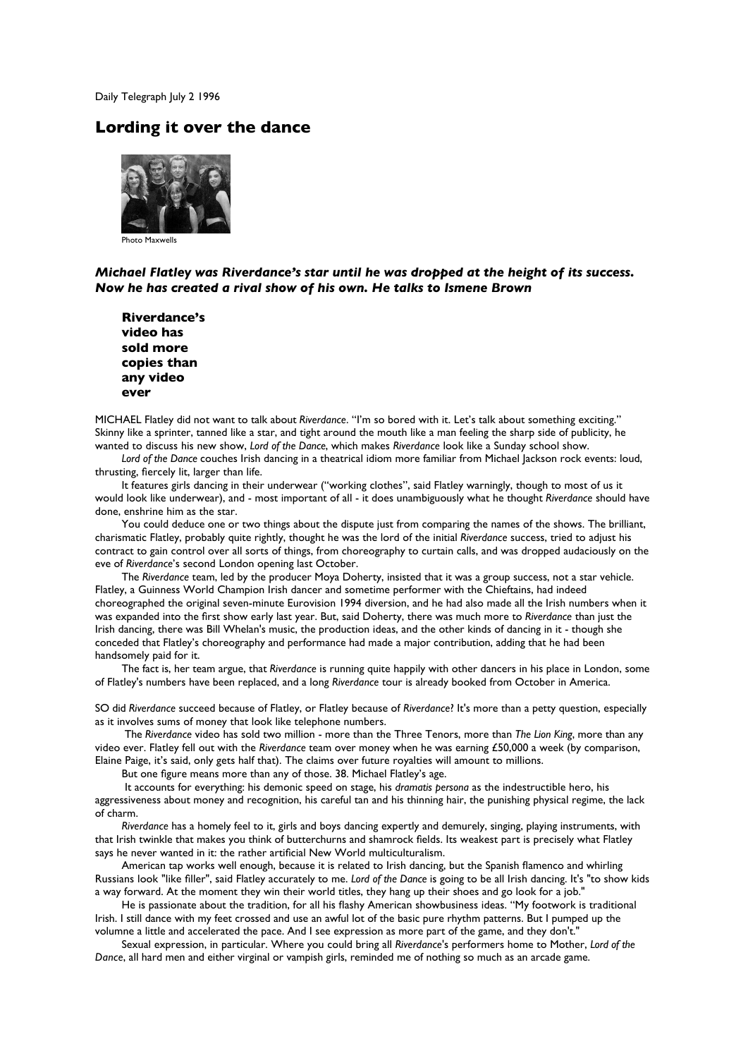Daily Telegraph July 2 1996

## **Lording it over the dance**



Photo Maxwells

## *Michael Flatley was Riverdance's star until he was dropped at the height of its success. Now he has created a rival show of his own. He talks to Ismene Brown*

**Riverdance's video has sold more copies than any video ever**

MICHAEL Flatley did not want to talk about *Riverdance*. "I'm so bored with it. Let's talk about something exciting." Skinny like a sprinter, tanned like a star, and tight around the mouth like a man feeling the sharp side of publicity, he wanted to discuss his new show, *Lord of the Dance*, which makes *Riverdance* look like a Sunday school show.

*Lord of the Dance* couches Irish dancing in a theatrical idiom more familiar from Michael Jackson rock events: loud, thrusting, fiercely lit, larger than life.

It features girls dancing in their underwear ("working clothes", said Flatley warningly, though to most of us it would look like underwear), and - most important of all - it does unambiguously what he thought *Riverdance* should have done, enshrine him as the star.

You could deduce one or two things about the dispute just from comparing the names of the shows. The brilliant, charismatic Flatley, probably quite rightly, thought he was the lord of the initial *Riverdance* success, tried to adjust his contract to gain control over all sorts of things, from choreography to curtain calls, and was dropped audaciously on the eve of *Riverdance*'s second London opening last October.

The *Riverdance* team, led by the producer Moya Doherty, insisted that it was a group success, not a star vehicle. Flatley, a Guinness World Champion Irish dancer and sometime performer with the Chieftains, had indeed choreographed the original seven-minute Eurovision 1994 diversion, and he had also made all the Irish numbers when it was expanded into the first show early last year. But, said Doherty, there was much more to *Riverdance* than just the Irish dancing, there was Bill Whelan's music, the production ideas, and the other kinds of dancing in it - though she conceded that Flatley's choreography and performance had made a major contribution, adding that he had been handsomely paid for it.

The fact is, her team argue, that *Riverdance* is running quite happily with other dancers in his place in London, some of Flatley's numbers have been replaced, and a long *Riverdance* tour is already booked from October in America.

SO did *Riverdance* succeed because of Flatley, or Flatley because of *Riverdance*? It's more than a petty question, especially as it involves sums of money that look like telephone numbers.

 The *Riverdance* video has sold two million - more than the Three Tenors, more than *The Lion King*, more than any video ever. Flatley fell out with the *Riverdance* team over money when he was earning £50,000 a week (by comparison, Elaine Paige, it's said, only gets half that). The claims over future royalties will amount to millions.

But one figure means more than any of those. 38. Michael Flatley's age.

 It accounts for everything: his demonic speed on stage, his *dramatis persona* as the indestructible hero, his aggressiveness about money and recognition, his careful tan and his thinning hair, the punishing physical regime, the lack of charm.

*Riverdance* has a homely feel to it, girls and boys dancing expertly and demurely, singing, playing instruments, with that Irish twinkle that makes you think of butterchurns and shamrock fields. Its weakest part is precisely what Flatley says he never wanted in it: the rather artificial New World multiculturalism.

American tap works well enough, because it is related to Irish dancing, but the Spanish flamenco and whirling Russians look "like filler", said Flatley accurately to me. *Lord of the Dance* is going to be all Irish dancing. It's "to show kids a way forward. At the moment they win their world titles, they hang up their shoes and go look for a job."

He is passionate about the tradition, for all his flashy American showbusiness ideas. "My footwork is traditional Irish. I still dance with my feet crossed and use an awful lot of the basic pure rhythm patterns. But I pumped up the volumne a little and accelerated the pace. And I see expression as more part of the game, and they don't."

Sexual expression, in particular. Where you could bring all *Riverdance*'s performers home to Mother, *Lord of the Dance*, all hard men and either virginal or vampish girls, reminded me of nothing so much as an arcade game.